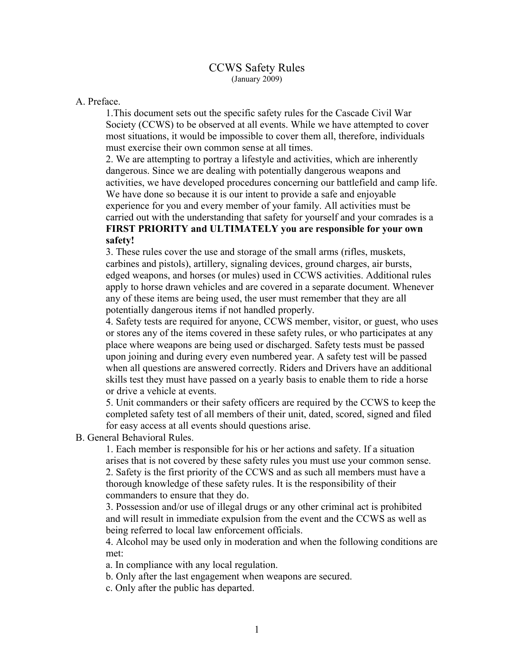## CCWS Safety Rules (January 2009)

## A. Preface.

1.This document sets out the specific safety rules for the Cascade Civil War Society (CCWS) to be observed at all events. While we have attempted to cover most situations, it would be impossible to cover them all, therefore, individuals must exercise their own common sense at all times.

2. We are attempting to portray a lifestyle and activities, which are inherently dangerous. Since we are dealing with potentially dangerous weapons and activities, we have developed procedures concerning our battlefield and camp life. We have done so because it is our intent to provide a safe and enjoyable experience for you and every member of your family. All activities must be carried out with the understanding that safety for yourself and your comrades is a **FIRST PRIORITY and ULTIMATELY you are responsible for your own safety!**

3. These rules cover the use and storage of the small arms (rifles, muskets, carbines and pistols), artillery, signaling devices, ground charges, air bursts, edged weapons, and horses (or mules) used in CCWS activities. Additional rules apply to horse drawn vehicles and are covered in a separate document. Whenever any of these items are being used, the user must remember that they are all potentially dangerous items if not handled properly.

4. Safety tests are required for anyone, CCWS member, visitor, or guest, who uses or stores any of the items covered in these safety rules, or who participates at any place where weapons are being used or discharged. Safety tests must be passed upon joining and during every even numbered year. A safety test will be passed when all questions are answered correctly. Riders and Drivers have an additional skills test they must have passed on a yearly basis to enable them to ride a horse or drive a vehicle at events.

5. Unit commanders or their safety officers are required by the CCWS to keep the completed safety test of all members of their unit, dated, scored, signed and filed for easy access at all events should questions arise.

B. General Behavioral Rules.

1. Each member is responsible for his or her actions and safety. If a situation arises that is not covered by these safety rules you must use your common sense. 2. Safety is the first priority of the CCWS and as such all members must have a thorough knowledge of these safety rules. It is the responsibility of their commanders to ensure that they do.

3. Possession and/or use of illegal drugs or any other criminal act is prohibited and will result in immediate expulsion from the event and the CCWS as well as being referred to local law enforcement officials.

4. Alcohol may be used only in moderation and when the following conditions are met:

a. In compliance with any local regulation.

b. Only after the last engagement when weapons are secured.

c. Only after the public has departed.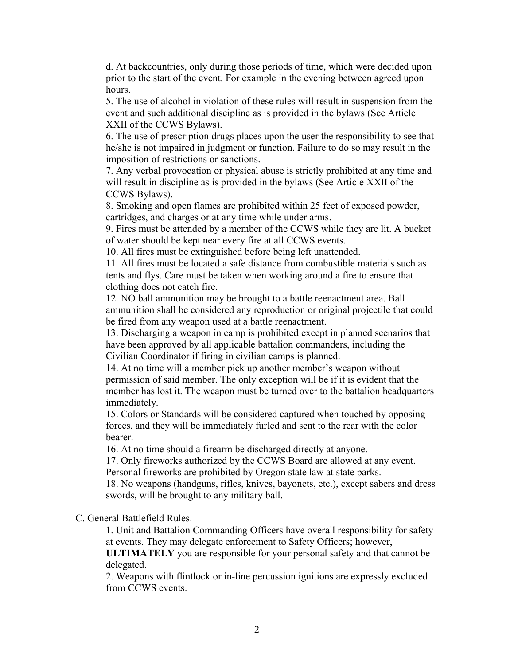d. At backcountries, only during those periods of time, which were decided upon prior to the start of the event. For example in the evening between agreed upon hours.

5. The use of alcohol in violation of these rules will result in suspension from the event and such additional discipline as is provided in the bylaws (See Article XXII of the CCWS Bylaws).

6. The use of prescription drugs places upon the user the responsibility to see that he/she is not impaired in judgment or function. Failure to do so may result in the imposition of restrictions or sanctions.

7. Any verbal provocation or physical abuse is strictly prohibited at any time and will result in discipline as is provided in the bylaws (See Article XXII of the CCWS Bylaws).

8. Smoking and open flames are prohibited within 25 feet of exposed powder, cartridges, and charges or at any time while under arms.

9. Fires must be attended by a member of the CCWS while they are lit. A bucket of water should be kept near every fire at all CCWS events.

10. All fires must be extinguished before being left unattended.

11. All fires must be located a safe distance from combustible materials such as tents and flys. Care must be taken when working around a fire to ensure that clothing does not catch fire.

12. NO ball ammunition may be brought to a battle reenactment area. Ball ammunition shall be considered any reproduction or original projectile that could be fired from any weapon used at a battle reenactment.

13. Discharging a weapon in camp is prohibited except in planned scenarios that have been approved by all applicable battalion commanders, including the Civilian Coordinator if firing in civilian camps is planned.

14. At no time will a member pick up another member's weapon without permission of said member. The only exception will be if it is evident that the member has lost it. The weapon must be turned over to the battalion headquarters immediately.

15. Colors or Standards will be considered captured when touched by opposing forces, and they will be immediately furled and sent to the rear with the color bearer.

16. At no time should a firearm be discharged directly at anyone.

17. Only fireworks authorized by the CCWS Board are allowed at any event. Personal fireworks are prohibited by Oregon state law at state parks.

18. No weapons (handguns, rifles, knives, bayonets, etc.), except sabers and dress swords, will be brought to any military ball.

C. General Battlefield Rules.

1. Unit and Battalion Commanding Officers have overall responsibility for safety at events. They may delegate enforcement to Safety Officers; however,

**ULTIMATELY** you are responsible for your personal safety and that cannot be delegated.

2. Weapons with flintlock or in-line percussion ignitions are expressly excluded from CCWS events.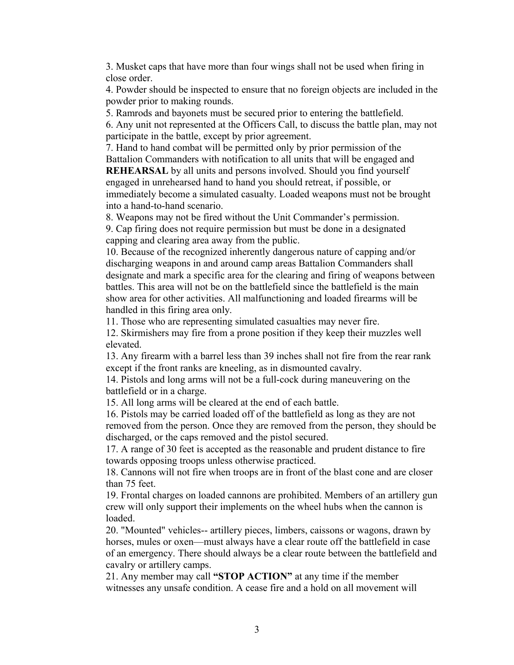3. Musket caps that have more than four wings shall not be used when firing in close order.

4. Powder should be inspected to ensure that no foreign objects are included in the powder prior to making rounds.

5. Ramrods and bayonets must be secured prior to entering the battlefield.

6. Any unit not represented at the Officers Call, to discuss the battle plan, may not participate in the battle, except by prior agreement.

7. Hand to hand combat will be permitted only by prior permission of the Battalion Commanders with notification to all units that will be engaged and

**REHEARSAL** by all units and persons involved. Should you find yourself engaged in unrehearsed hand to hand you should retreat, if possible, or immediately become a simulated casualty. Loaded weapons must not be brought into a hand-to-hand scenario.

8. Weapons may not be fired without the Unit Commander's permission.

9. Cap firing does not require permission but must be done in a designated capping and clearing area away from the public.

10. Because of the recognized inherently dangerous nature of capping and/or discharging weapons in and around camp areas Battalion Commanders shall designate and mark a specific area for the clearing and firing of weapons between battles. This area will not be on the battlefield since the battlefield is the main show area for other activities. All malfunctioning and loaded firearms will be handled in this firing area only.

11. Those who are representing simulated casualties may never fire.

12. Skirmishers may fire from a prone position if they keep their muzzles well elevated.

13. Any firearm with a barrel less than 39 inches shall not fire from the rear rank except if the front ranks are kneeling, as in dismounted cavalry.

14. Pistols and long arms will not be a full-cock during maneuvering on the battlefield or in a charge.

15. All long arms will be cleared at the end of each battle.

16. Pistols may be carried loaded off of the battlefield as long as they are not removed from the person. Once they are removed from the person, they should be discharged, or the caps removed and the pistol secured.

17. A range of 30 feet is accepted as the reasonable and prudent distance to fire towards opposing troops unless otherwise practiced.

18. Cannons will not fire when troops are in front of the blast cone and are closer than 75 feet.

19. Frontal charges on loaded cannons are prohibited. Members of an artillery gun crew will only support their implements on the wheel hubs when the cannon is loaded.

20. "Mounted" vehicles-- artillery pieces, limbers, caissons or wagons, drawn by horses, mules or oxen—must always have a clear route off the battlefield in case of an emergency. There should always be a clear route between the battlefield and cavalry or artillery camps.

21. Any member may call **"STOP ACTION"** at any time if the member witnesses any unsafe condition. A cease fire and a hold on all movement will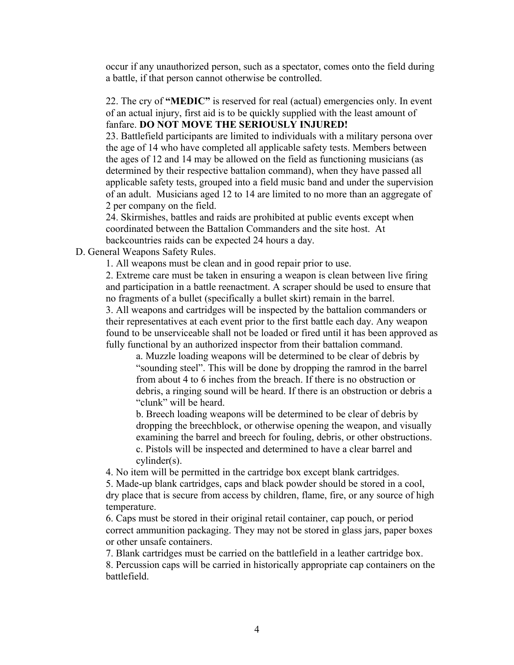occur if any unauthorized person, such as a spectator, comes onto the field during a battle, if that person cannot otherwise be controlled.

22. The cry of **"MEDIC"** is reserved for real (actual) emergencies only. In event of an actual injury, first aid is to be quickly supplied with the least amount of fanfare. **DO NOT MOVE THE SERIOUSLY INJURED!**

23. Battlefield participants are limited to individuals with a military persona over the age of 14 who have completed all applicable safety tests. Members between the ages of 12 and 14 may be allowed on the field as functioning musicians (as determined by their respective battalion command), when they have passed all applicable safety tests, grouped into a field music band and under the supervision of an adult. Musicians aged 12 to 14 are limited to no more than an aggregate of 2 per company on the field.

24. Skirmishes, battles and raids are prohibited at public events except when coordinated between the Battalion Commanders and the site host. At backcountries raids can be expected 24 hours a day.

D. General Weapons Safety Rules.

1. All weapons must be clean and in good repair prior to use.

2. Extreme care must be taken in ensuring a weapon is clean between live firing and participation in a battle reenactment. A scraper should be used to ensure that no fragments of a bullet (specifically a bullet skirt) remain in the barrel.

3. All weapons and cartridges will be inspected by the battalion commanders or their representatives at each event prior to the first battle each day. Any weapon found to be unserviceable shall not be loaded or fired until it has been approved as fully functional by an authorized inspector from their battalion command.

a. Muzzle loading weapons will be determined to be clear of debris by "sounding steel". This will be done by dropping the ramrod in the barrel from about 4 to 6 inches from the breach. If there is no obstruction or debris, a ringing sound will be heard. If there is an obstruction or debris a "clunk" will be heard.

b. Breech loading weapons will be determined to be clear of debris by dropping the breechblock, or otherwise opening the weapon, and visually examining the barrel and breech for fouling, debris, or other obstructions. c. Pistols will be inspected and determined to have a clear barrel and cylinder(s).

4. No item will be permitted in the cartridge box except blank cartridges.

5. Made-up blank cartridges, caps and black powder should be stored in a cool, dry place that is secure from access by children, flame, fire, or any source of high temperature.

6. Caps must be stored in their original retail container, cap pouch, or period correct ammunition packaging. They may not be stored in glass jars, paper boxes or other unsafe containers.

7. Blank cartridges must be carried on the battlefield in a leather cartridge box.

8. Percussion caps will be carried in historically appropriate cap containers on the battlefield.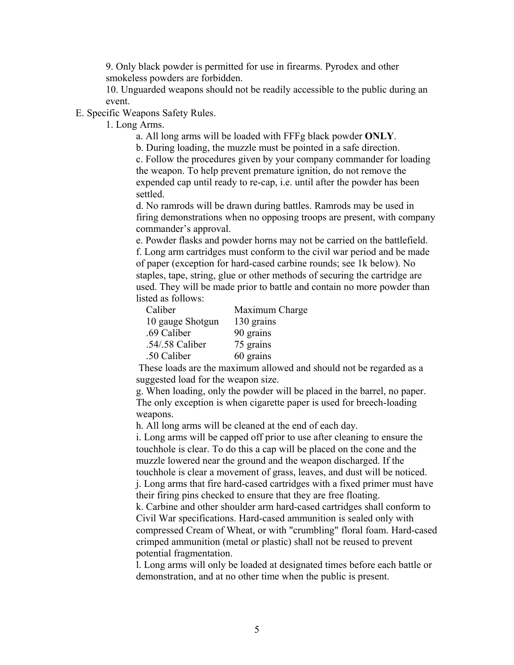9. Only black powder is permitted for use in firearms. Pyrodex and other smokeless powders are forbidden.

10. Unguarded weapons should not be readily accessible to the public during an event.

E. Specific Weapons Safety Rules.

1. Long Arms.

a. All long arms will be loaded with FFFg black powder **ONLY**.

b. During loading, the muzzle must be pointed in a safe direction.

c. Follow the procedures given by your company commander for loading the weapon. To help prevent premature ignition, do not remove the expended cap until ready to re-cap, i.e. until after the powder has been settled.

d. No ramrods will be drawn during battles. Ramrods may be used in firing demonstrations when no opposing troops are present, with company commander's approval.

e. Powder flasks and powder horns may not be carried on the battlefield. f. Long arm cartridges must conform to the civil war period and be made of paper (exception for hard-cased carbine rounds; see 1k below). No staples, tape, string, glue or other methods of securing the cartridge are used. They will be made prior to battle and contain no more powder than listed as follows:

| Caliber          | Maximum Charge |
|------------------|----------------|
| 10 gauge Shotgun | 130 grains     |
| .69 Caliber      | 90 grains      |
| .54/.58 Caliber  | 75 grains      |
| .50 Caliber      | 60 grains      |

 These loads are the maximum allowed and should not be regarded as a suggested load for the weapon size.

g. When loading, only the powder will be placed in the barrel, no paper. The only exception is when cigarette paper is used for breech-loading weapons.

h. All long arms will be cleaned at the end of each day.

i. Long arms will be capped off prior to use after cleaning to ensure the touchhole is clear. To do this a cap will be placed on the cone and the muzzle lowered near the ground and the weapon discharged. If the touchhole is clear a movement of grass, leaves, and dust will be noticed. j. Long arms that fire hard-cased cartridges with a fixed primer must have

their firing pins checked to ensure that they are free floating.

k. Carbine and other shoulder arm hard-cased cartridges shall conform to Civil War specifications. Hard-cased ammunition is sealed only with compressed Cream of Wheat, or with "crumbling" floral foam. Hard-cased crimped ammunition (metal or plastic) shall not be reused to prevent potential fragmentation.

l. Long arms will only be loaded at designated times before each battle or demonstration, and at no other time when the public is present.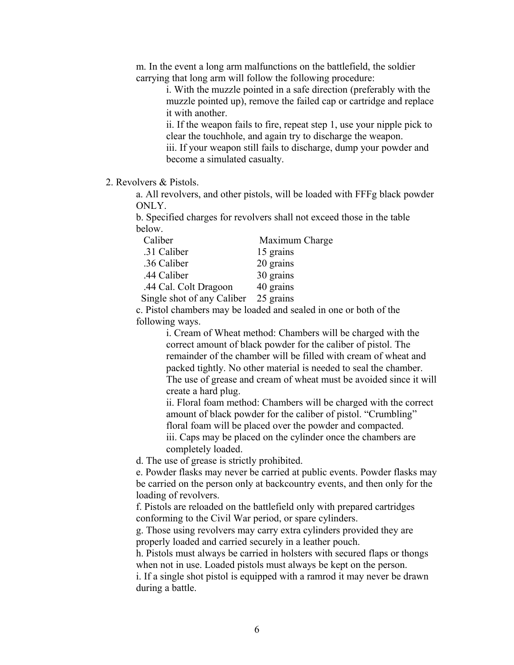m. In the event a long arm malfunctions on the battlefield, the soldier carrying that long arm will follow the following procedure:

> i. With the muzzle pointed in a safe direction (preferably with the muzzle pointed up), remove the failed cap or cartridge and replace it with another.

> ii. If the weapon fails to fire, repeat step 1, use your nipple pick to clear the touchhole, and again try to discharge the weapon. iii. If your weapon still fails to discharge, dump your powder and

become a simulated casualty.

2. Revolvers & Pistols.

a. All revolvers, and other pistols, will be loaded with FFFg black powder ONLY.

b. Specified charges for revolvers shall not exceed those in the table below.

| Caliber                    | Maximum Charge |
|----------------------------|----------------|
| .31 Caliber                | 15 grains      |
| .36 Caliber                | 20 grains      |
| .44 Caliber                | 30 grains      |
| .44 Cal. Colt Dragoon      | 40 grains      |
| Single shot of any Caliber | 25 grains      |

c. Pistol chambers may be loaded and sealed in one or both of the following ways.

> i. Cream of Wheat method: Chambers will be charged with the correct amount of black powder for the caliber of pistol. The remainder of the chamber will be filled with cream of wheat and packed tightly. No other material is needed to seal the chamber. The use of grease and cream of wheat must be avoided since it will create a hard plug.

> ii. Floral foam method: Chambers will be charged with the correct amount of black powder for the caliber of pistol. "Crumbling" floral foam will be placed over the powder and compacted.

iii. Caps may be placed on the cylinder once the chambers are completely loaded.

d. The use of grease is strictly prohibited.

e. Powder flasks may never be carried at public events. Powder flasks may be carried on the person only at backcountry events, and then only for the loading of revolvers.

f. Pistols are reloaded on the battlefield only with prepared cartridges conforming to the Civil War period, or spare cylinders.

g. Those using revolvers may carry extra cylinders provided they are properly loaded and carried securely in a leather pouch.

h. Pistols must always be carried in holsters with secured flaps or thongs when not in use. Loaded pistols must always be kept on the person.

i. If a single shot pistol is equipped with a ramrod it may never be drawn during a battle.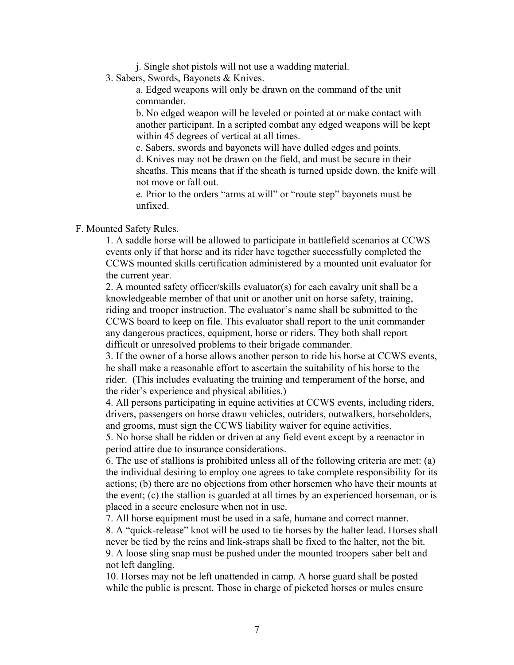j. Single shot pistols will not use a wadding material.

3. Sabers, Swords, Bayonets & Knives.

a. Edged weapons will only be drawn on the command of the unit commander.

b. No edged weapon will be leveled or pointed at or make contact with another participant. In a scripted combat any edged weapons will be kept within 45 degrees of vertical at all times.

c. Sabers, swords and bayonets will have dulled edges and points.

d. Knives may not be drawn on the field, and must be secure in their sheaths. This means that if the sheath is turned upside down, the knife will not move or fall out.

e. Prior to the orders "arms at will" or "route step" bayonets must be unfixed.

#### F. Mounted Safety Rules.

1. A saddle horse will be allowed to participate in battlefield scenarios at CCWS events only if that horse and its rider have together successfully completed the CCWS mounted skills certification administered by a mounted unit evaluator for the current year.

2. A mounted safety officer/skills evaluator(s) for each cavalry unit shall be a knowledgeable member of that unit or another unit on horse safety, training, riding and trooper instruction. The evaluator's name shall be submitted to the CCWS board to keep on file. This evaluator shall report to the unit commander any dangerous practices, equipment, horse or riders. They both shall report difficult or unresolved problems to their brigade commander.

3. If the owner of a horse allows another person to ride his horse at CCWS events, he shall make a reasonable effort to ascertain the suitability of his horse to the rider. (This includes evaluating the training and temperament of the horse, and the rider's experience and physical abilities.)

4. All persons participating in equine activities at CCWS events, including riders, drivers, passengers on horse drawn vehicles, outriders, outwalkers, horseholders, and grooms, must sign the CCWS liability waiver for equine activities.

5. No horse shall be ridden or driven at any field event except by a reenactor in period attire due to insurance considerations.

6. The use of stallions is prohibited unless all of the following criteria are met: (a) the individual desiring to employ one agrees to take complete responsibility for its actions; (b) there are no objections from other horsemen who have their mounts at the event; (c) the stallion is guarded at all times by an experienced horseman, or is placed in a secure enclosure when not in use.

7. All horse equipment must be used in a safe, humane and correct manner.

8. A "quick-release" knot will be used to tie horses by the halter lead. Horses shall never be tied by the reins and link-straps shall be fixed to the halter, not the bit. 9. A loose sling snap must be pushed under the mounted troopers saber belt and not left dangling.

10. Horses may not be left unattended in camp. A horse guard shall be posted while the public is present. Those in charge of picketed horses or mules ensure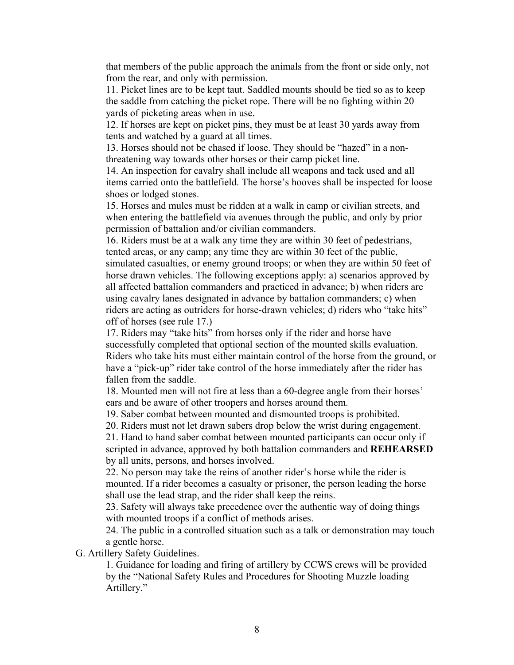that members of the public approach the animals from the front or side only, not from the rear, and only with permission.

11. Picket lines are to be kept taut. Saddled mounts should be tied so as to keep the saddle from catching the picket rope. There will be no fighting within 20 yards of picketing areas when in use.

12. If horses are kept on picket pins, they must be at least 30 yards away from tents and watched by a guard at all times.

13. Horses should not be chased if loose. They should be "hazed" in a nonthreatening way towards other horses or their camp picket line.

14. An inspection for cavalry shall include all weapons and tack used and all items carried onto the battlefield. The horse's hooves shall be inspected for loose shoes or lodged stones.

15. Horses and mules must be ridden at a walk in camp or civilian streets, and when entering the battlefield via avenues through the public, and only by prior permission of battalion and/or civilian commanders.

16. Riders must be at a walk any time they are within 30 feet of pedestrians, tented areas, or any camp; any time they are within 30 feet of the public, simulated casualties, or enemy ground troops; or when they are within 50 feet of horse drawn vehicles. The following exceptions apply: a) scenarios approved by all affected battalion commanders and practiced in advance; b) when riders are using cavalry lanes designated in advance by battalion commanders; c) when riders are acting as outriders for horse-drawn vehicles; d) riders who "take hits" off of horses (see rule 17.)

17. Riders may "take hits" from horses only if the rider and horse have successfully completed that optional section of the mounted skills evaluation. Riders who take hits must either maintain control of the horse from the ground, or have a "pick-up" rider take control of the horse immediately after the rider has fallen from the saddle.

18. Mounted men will not fire at less than a 60-degree angle from their horses' ears and be aware of other troopers and horses around them.

19. Saber combat between mounted and dismounted troops is prohibited.

20. Riders must not let drawn sabers drop below the wrist during engagement.

21. Hand to hand saber combat between mounted participants can occur only if scripted in advance, approved by both battalion commanders and **REHEARSED** by all units, persons, and horses involved.

22. No person may take the reins of another rider's horse while the rider is mounted. If a rider becomes a casualty or prisoner, the person leading the horse shall use the lead strap, and the rider shall keep the reins.

23. Safety will always take precedence over the authentic way of doing things with mounted troops if a conflict of methods arises.

24. The public in a controlled situation such as a talk or demonstration may touch a gentle horse.

G. Artillery Safety Guidelines.

1. Guidance for loading and firing of artillery by CCWS crews will be provided by the "National Safety Rules and Procedures for Shooting Muzzle loading Artillery."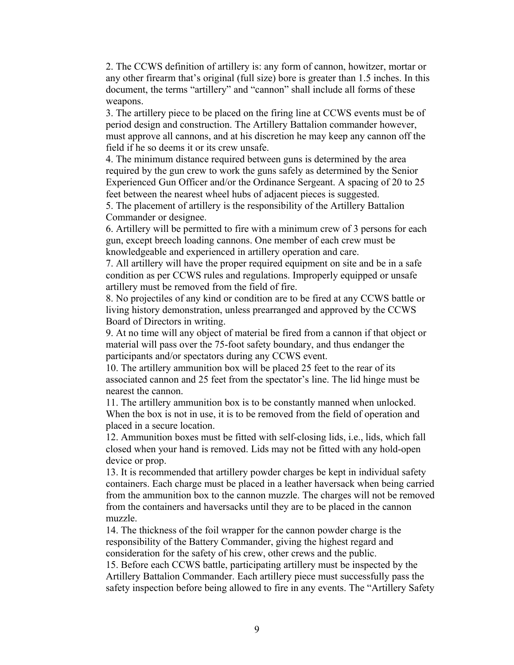2. The CCWS definition of artillery is: any form of cannon, howitzer, mortar or any other firearm that's original (full size) bore is greater than 1.5 inches. In this document, the terms "artillery" and "cannon" shall include all forms of these weapons.

3. The artillery piece to be placed on the firing line at CCWS events must be of period design and construction. The Artillery Battalion commander however, must approve all cannons, and at his discretion he may keep any cannon off the field if he so deems it or its crew unsafe.

4. The minimum distance required between guns is determined by the area required by the gun crew to work the guns safely as determined by the Senior Experienced Gun Officer and/or the Ordinance Sergeant. A spacing of 20 to 25 feet between the nearest wheel hubs of adjacent pieces is suggested.

5. The placement of artillery is the responsibility of the Artillery Battalion Commander or designee.

6. Artillery will be permitted to fire with a minimum crew of 3 persons for each gun, except breech loading cannons. One member of each crew must be knowledgeable and experienced in artillery operation and care.

7. All artillery will have the proper required equipment on site and be in a safe condition as per CCWS rules and regulations. Improperly equipped or unsafe artillery must be removed from the field of fire.

8. No projectiles of any kind or condition are to be fired at any CCWS battle or living history demonstration, unless prearranged and approved by the CCWS Board of Directors in writing.

9. At no time will any object of material be fired from a cannon if that object or material will pass over the 75-foot safety boundary, and thus endanger the participants and/or spectators during any CCWS event.

10. The artillery ammunition box will be placed 25 feet to the rear of its associated cannon and 25 feet from the spectator's line. The lid hinge must be nearest the cannon.

11. The artillery ammunition box is to be constantly manned when unlocked. When the box is not in use, it is to be removed from the field of operation and placed in a secure location.

12. Ammunition boxes must be fitted with self-closing lids, i.e., lids, which fall closed when your hand is removed. Lids may not be fitted with any hold-open device or prop.

13. It is recommended that artillery powder charges be kept in individual safety containers. Each charge must be placed in a leather haversack when being carried from the ammunition box to the cannon muzzle. The charges will not be removed from the containers and haversacks until they are to be placed in the cannon muzzle.

14. The thickness of the foil wrapper for the cannon powder charge is the responsibility of the Battery Commander, giving the highest regard and consideration for the safety of his crew, other crews and the public.

15. Before each CCWS battle, participating artillery must be inspected by the Artillery Battalion Commander. Each artillery piece must successfully pass the safety inspection before being allowed to fire in any events. The "Artillery Safety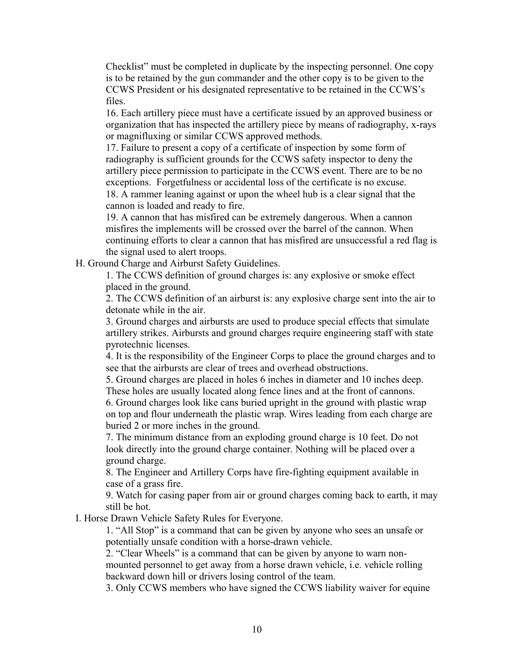Checklist" must be completed in duplicate by the inspecting personnel. One copy is to be retained by the gun commander and the other copy is to be given to the CCWS President or his designated representative to be retained in the CCWS's files.

16. Each artillery piece must have a certificate issued by an approved business or organization that has inspected the artillery piece by means of radiography, x-rays or magnifluxing or similar CCWS approved methods.

17. Failure to present a copy of a certificate of inspection by some form of radiography is sufficient grounds for the CCWS safety inspector to deny the artillery piece permission to participate in the CCWS event. There are to be no exceptions. Forgetfulness or accidental loss of the certificate is no excuse. 18. A rammer leaning against or upon the wheel hub is a clear signal that the cannon is loaded and ready to fire.

19. A cannon that has misfired can be extremely dangerous. When a cannon misfires the implements will be crossed over the barrel of the cannon. When continuing efforts to clear a cannon that has misfired are unsuccessful a red flag is the signal used to alert troops.

H. Ground Charge and Airburst Safety Guidelines.

1. The CCWS definition of ground charges is: any explosive or smoke effect placed in the ground.

2. The CCWS definition of an airburst is: any explosive charge sent into the air to detonate while in the air.

3. Ground charges and airbursts are used to produce special effects that simulate artillery strikes. Airbursts and ground charges require engineering staff with state pyrotechnic licenses.

4. It is the responsibility of the Engineer Corps to place the ground charges and to see that the airbursts are clear of trees and overhead obstructions.

5. Ground charges are placed in holes 6 inches in diameter and 10 inches deep. These holes are usually located along fence lines and at the front of cannons.

6. Ground charges look like cans buried upright in the ground with plastic wrap on top and flour underneath the plastic wrap. Wires leading from each charge are buried 2 or more inches in the ground.

7. The minimum distance from an exploding ground charge is 10 feet. Do not look directly into the ground charge container. Nothing will be placed over a ground charge.

8. The Engineer and Artillery Corps have fire-fighting equipment available in case of a grass fire.

9. Watch for casing paper from air or ground charges coming back to earth, it may still be hot.

I. Horse Drawn Vehicle Safety Rules for Everyone.

1. "All Stop" is a command that can be given by anyone who sees an unsafe or potentially unsafe condition with a horse-drawn vehicle.

2. "Clear Wheels" is a command that can be given by anyone to warn nonmounted personnel to get away from a horse drawn vehicle, i.e. vehicle rolling backward down hill or drivers losing control of the team.

3. Only CCWS members who have signed the CCWS liability waiver for equine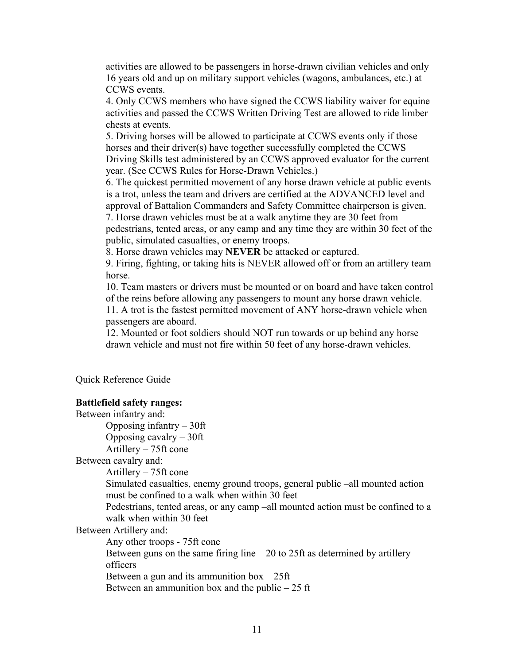activities are allowed to be passengers in horse-drawn civilian vehicles and only 16 years old and up on military support vehicles (wagons, ambulances, etc.) at CCWS events.

4. Only CCWS members who have signed the CCWS liability waiver for equine activities and passed the CCWS Written Driving Test are allowed to ride limber chests at events.

5. Driving horses will be allowed to participate at CCWS events only if those horses and their driver(s) have together successfully completed the CCWS Driving Skills test administered by an CCWS approved evaluator for the current year. (See CCWS Rules for Horse-Drawn Vehicles.)

6. The quickest permitted movement of any horse drawn vehicle at public events is a trot, unless the team and drivers are certified at the ADVANCED level and approval of Battalion Commanders and Safety Committee chairperson is given.

7. Horse drawn vehicles must be at a walk anytime they are 30 feet from pedestrians, tented areas, or any camp and any time they are within 30 feet of the public, simulated casualties, or enemy troops.

8. Horse drawn vehicles may **NEVER** be attacked or captured.

9. Firing, fighting, or taking hits is NEVER allowed off or from an artillery team horse.

10. Team masters or drivers must be mounted or on board and have taken control of the reins before allowing any passengers to mount any horse drawn vehicle.

11. A trot is the fastest permitted movement of ANY horse-drawn vehicle when passengers are aboard.

12. Mounted or foot soldiers should NOT run towards or up behind any horse drawn vehicle and must not fire within 50 feet of any horse-drawn vehicles.

Quick Reference Guide

### **Battlefield safety ranges:**

Between infantry and: Opposing infantry – 30ft Opposing cavalry – 30ft Artillery – 75ft cone Between cavalry and: Artillery – 75ft cone Simulated casualties, enemy ground troops, general public –all mounted action must be confined to a walk when within 30 feet Pedestrians, tented areas, or any camp –all mounted action must be confined to a walk when within 30 feet Between Artillery and: Any other troops - 75ft cone Between guns on the same firing line  $-20$  to 25ft as determined by artillery officers Between a gun and its ammunition  $box - 25$ ft Between an ammunition box and the public  $-25$  ft